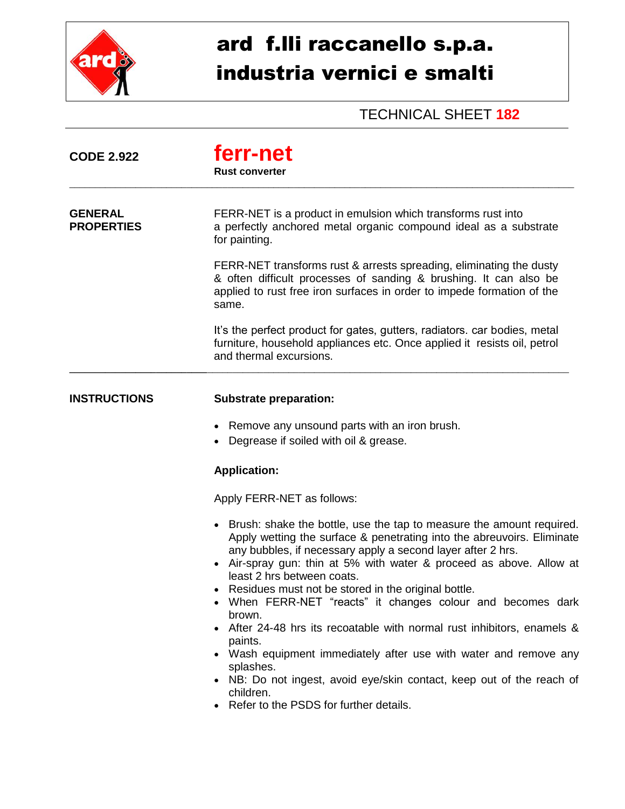

## ard f.lli raccanello s.p.a. industria vernici e smalti

## TECHNICAL SHEET **182**

| <b>CODE 2.922</b>                   | ferr-net<br><b>Rust converter</b>                                                                                                                                                                                                                                                                                                                                                                                                                |
|-------------------------------------|--------------------------------------------------------------------------------------------------------------------------------------------------------------------------------------------------------------------------------------------------------------------------------------------------------------------------------------------------------------------------------------------------------------------------------------------------|
| <b>GENERAL</b><br><b>PROPERTIES</b> | FERR-NET is a product in emulsion which transforms rust into<br>a perfectly anchored metal organic compound ideal as a substrate<br>for painting.                                                                                                                                                                                                                                                                                                |
|                                     | FERR-NET transforms rust & arrests spreading, eliminating the dusty<br>& often difficult processes of sanding & brushing. It can also be<br>applied to rust free iron surfaces in order to impede formation of the<br>same.                                                                                                                                                                                                                      |
|                                     | It's the perfect product for gates, gutters, radiators. car bodies, metal<br>furniture, household appliances etc. Once applied it resists oil, petrol<br>and thermal excursions.                                                                                                                                                                                                                                                                 |
| <b>INSTRUCTIONS</b>                 | <b>Substrate preparation:</b>                                                                                                                                                                                                                                                                                                                                                                                                                    |
|                                     | Remove any unsound parts with an iron brush.<br>Degrease if soiled with oil & grease.                                                                                                                                                                                                                                                                                                                                                            |
|                                     | <b>Application:</b>                                                                                                                                                                                                                                                                                                                                                                                                                              |
|                                     | Apply FERR-NET as follows:                                                                                                                                                                                                                                                                                                                                                                                                                       |
|                                     | • Brush: shake the bottle, use the tap to measure the amount required.<br>Apply wetting the surface & penetrating into the abreuvoirs. Eliminate<br>any bubbles, if necessary apply a second layer after 2 hrs.<br>Air-spray gun: thin at 5% with water & proceed as above. Allow at<br>least 2 hrs between coats.<br>Residues must not be stored in the original bottle.<br>When FERR-NET "reacts" it changes colour and becomes dark<br>brown. |
|                                     | After 24-48 hrs its recoatable with normal rust inhibitors, enamels &<br>paints.                                                                                                                                                                                                                                                                                                                                                                 |
|                                     | Wash equipment immediately after use with water and remove any<br>splashes.                                                                                                                                                                                                                                                                                                                                                                      |
|                                     | NB: Do not ingest, avoid eye/skin contact, keep out of the reach of<br>children.<br>Refer to the PSDS for further details.                                                                                                                                                                                                                                                                                                                       |
|                                     |                                                                                                                                                                                                                                                                                                                                                                                                                                                  |